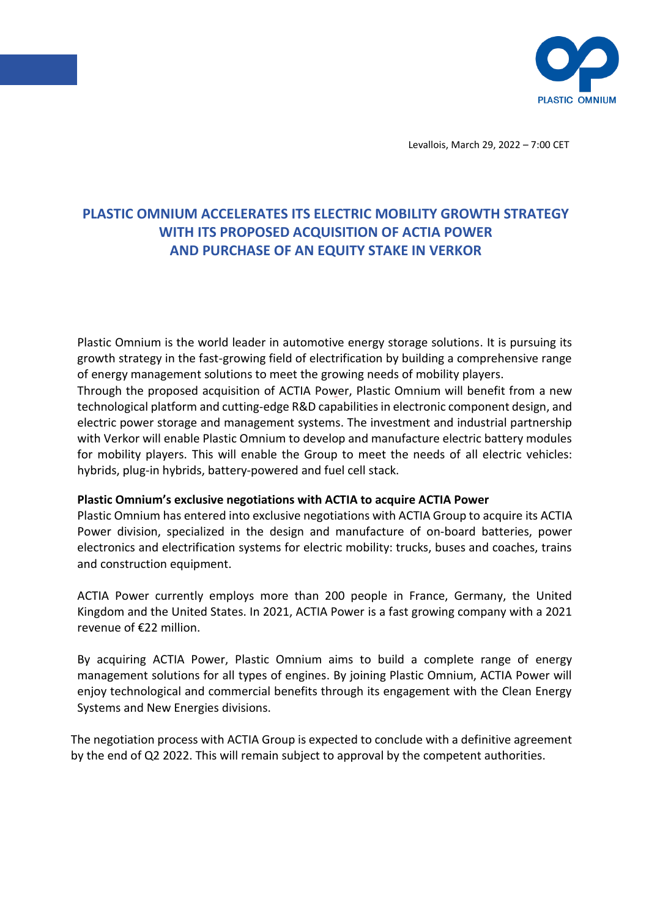

Levallois, March 29, 2022 – 7:00 CET

# **PLASTIC OMNIUM ACCELERATES ITS ELECTRIC MOBILITY GROWTH STRATEGY WITH ITS PROPOSED ACQUISITION OF ACTIA POWER AND PURCHASE OF AN EQUITY STAKE IN VERKOR**

Plastic Omnium is the world leader in automotive energy storage solutions. It is pursuing its growth strategy in the fast-growing field of electrification by building a comprehensive range of energy management solutions to meet the growing needs of mobility players.

Through the proposed acquisition of ACTIA Power, Plastic Omnium will benefit from a new technological platform and cutting-edge R&D capabilities in electronic component design, and electric power storage and management systems. The investment and industrial partnership with Verkor will enable Plastic Omnium to develop and manufacture electric battery modules for mobility players. This will enable the Group to meet the needs of all electric vehicles: hybrids, plug-in hybrids, battery-powered and fuel cell stack.

# **Plastic Omnium's exclusive negotiations with ACTIA to acquire ACTIA Power**

Plastic Omnium has entered into exclusive negotiations with ACTIA Group to acquire its ACTIA Power division, specialized in the design and manufacture of on-board batteries, power electronics and electrification systems for electric mobility: trucks, buses and coaches, trains and construction equipment.

ACTIA Power currently employs more than 200 people in France, Germany, the United Kingdom and the United States. In 2021, ACTIA Power is a fast growing company with a 2021 revenue of €22 million.

By acquiring ACTIA Power, Plastic Omnium aims to build a complete range of energy management solutions for all types of engines. By joining Plastic Omnium, ACTIA Power will enjoy technological and commercial benefits through its engagement with the Clean Energy Systems and New Energies divisions.

The negotiation process with ACTIA Group is expected to conclude with a definitive agreement by the end of Q2 2022. This will remain subject to approval by the competent authorities.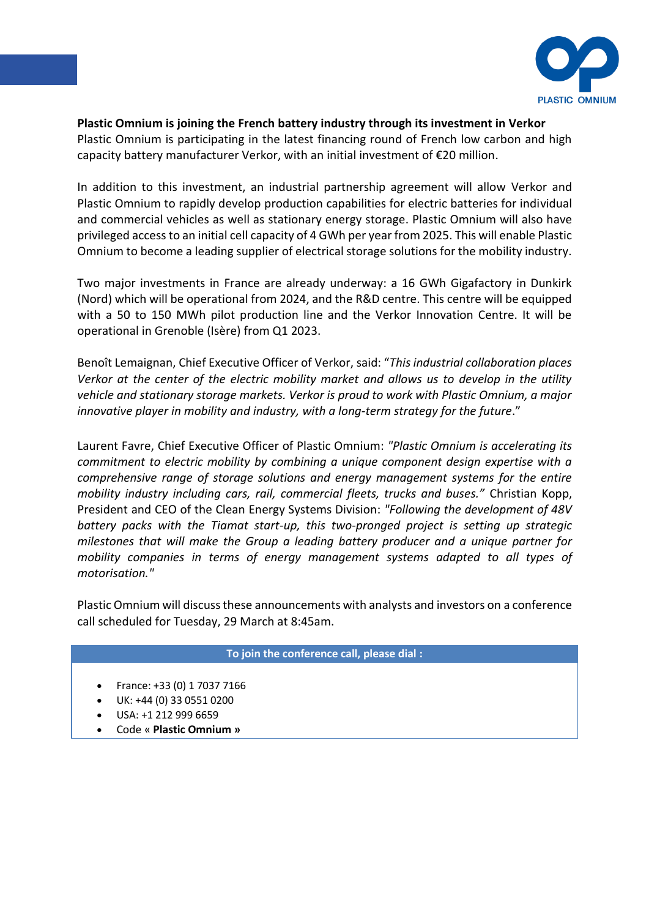

## **Plastic Omnium is joining the French battery industry through its investment in Verkor**

Plastic Omnium is participating in the latest financing round of French low carbon and high capacity battery manufacturer Verkor, with an initial investment of €20 million.

In addition to this investment, an industrial partnership agreement will allow Verkor and Plastic Omnium to rapidly develop production capabilities for electric batteries for individual and commercial vehicles as well as stationary energy storage. Plastic Omnium will also have privileged access to an initial cell capacity of 4 GWh per year from 2025. This will enable Plastic Omnium to become a leading supplier of electrical storage solutions for the mobility industry.

Two major investments in France are already underway: a 16 GWh Gigafactory in Dunkirk (Nord) which will be operational from 2024, and the R&D centre. This centre will be equipped with a 50 to 150 MWh pilot production line and the Verkor Innovation Centre. It will be operational in Grenoble (Isère) from Q1 2023.

Benoît Lemaignan, Chief Executive Officer of Verkor, said: "*This industrial collaboration places Verkor at the center of the electric mobility market and allows us to develop in the utility vehicle and stationary storage markets. Verkor is proud to work with Plastic Omnium, a major innovative player in mobility and industry, with a long-term strategy for the future."* 

Laurent Favre, Chief Executive Officer of Plastic Omnium: *"Plastic Omnium is accelerating its commitment to electric mobility by combining a unique component design expertise with a comprehensive range of storage solutions and energy management systems for the entire mobility industry including cars, rail, commercial fleets, trucks and buses."* Christian Kopp, President and CEO of the Clean Energy Systems Division: *"Following the development of 48V battery packs with the Tiamat start-up, this two-pronged project is setting up strategic milestones that will make the Group a leading battery producer and a unique partner for mobility companies in terms of energy management systems adapted to all types of motorisation."*

Plastic Omnium will discuss these announcements with analysts and investors on a conference call scheduled for Tuesday, 29 March at 8:45am.

## **To join the conference call, please dial :**

- France: +33 (0) 1 7037 7166
- UK: +44 (0) 33 0551 0200
- USA: +1 212 999 6659
- Code « **Plastic Omnium »**